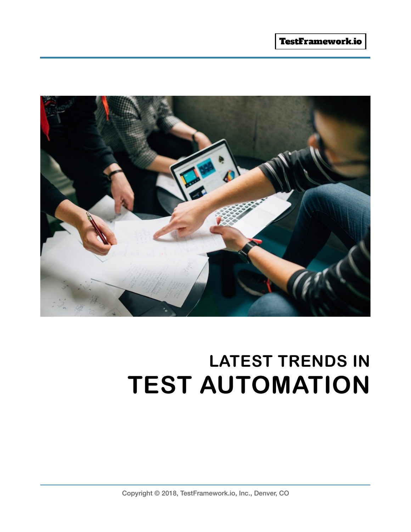

# **LATEST TRENDS IN TEST AUTOMATION**

Copyright © 2018, TestFramework.io, Inc., Denver, CO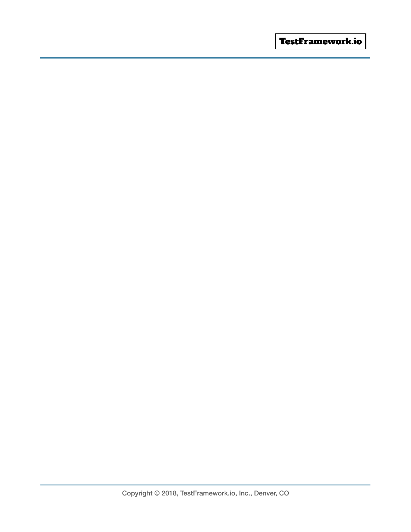TestFramework.io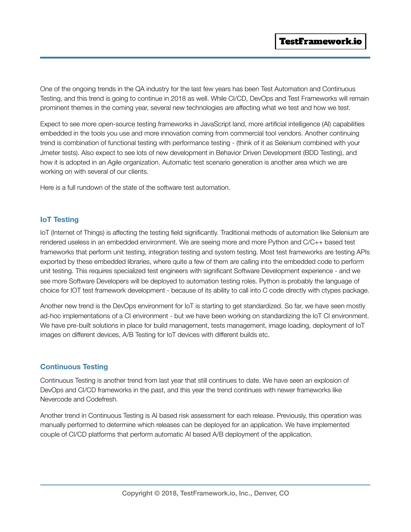One of the ongoing trends in the QA industry for the last few years has been Test Automation and Continuous Testing, and this trend is going to continue in 2018 as well. While CI/CD, DevOps and Test Frameworks will remain prominent themes in the coming year, several new technologies are affecting what we test and how we test.

Expect to see more open-source testing frameworks in JavaScript land, more artificial intelligence (AI) capabilities embedded in the tools you use and more innovation coming from commercial tool vendors. Another continuing trend is combination of functional testing with performance testing - (think of it as Selenium combined with your Jmeter tests). Also expect to see lots of new development in Behavior Driven Development (BDD Testing), and how it is adopted in an Agile organization. Automatic test scenario generation is another area which we are working on with several of our clients.

Here is a full rundown of the state of the software test automation.

#### **IoT Testing**

IoT (Internet of Things) is affecting the testing field significantly. Traditional methods of automation like Selenium are rendered useless in an embedded environment. We are seeing more and more Python and C/C++ based test frameworks that perform unit testing, integration testing and system testing. Most test frameworks are testing APIs exported by these embedded libraries, where quite a few of them are calling into the embedded code to perform unit testing. This requires specialized test engineers with significant Software Development experience - and we see more Software Developers will be deployed to automation testing roles. Python is probably the language of choice for IOT test framework development - because of its ability to call into C code directly with ctypes package.

Another new trend is the DevOps environment for IoT is starting to get standardized. So far, we have seen mostly ad-hoc implementations of a CI environment - but we have been working on standardizing the IoT CI environment. We have pre-built solutions in place for build management, tests management, image loading, deployment of IoT images on different devices, A/B Testing for IoT devices with different builds etc.

#### **Continuous Testing**

Continuous Testing is another trend from last year that still continues to date. We have seen an explosion of DevOps and CI/CD frameworks in the past, and this year the trend continues with newer frameworks like Nevercode and Codefresh.

Another trend in Continuous Testing is AI based risk assessment for each release. Previously, this operation was manually performed to determine which releases can be deployed for an application. We have implemented couple of CI/CD platforms that perform automatic AI based A/B deployment of the application.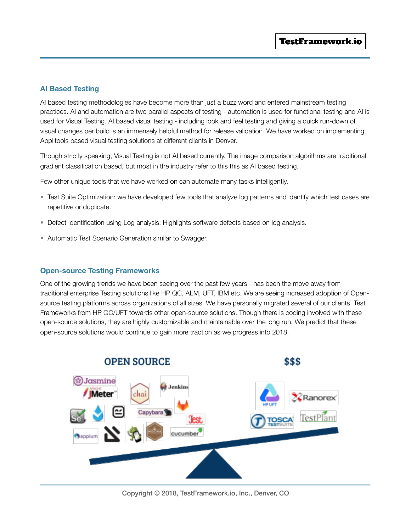### **AI Based Testing**

AI based testing methodologies have become more than just a buzz word and entered mainstream testing practices. AI and automation are two parallel aspects of testing - automation is used for functional testing and AI is used for Visual Testing. AI based visual testing - including look and feel testing and giving a quick run-down of visual changes per build is an immensely helpful method for release validation. We have worked on implementing Applitools based visual testing solutions at different clients in Denver.

Though strictly speaking, Visual Testing is not AI based currently. The image comparison algorithms are traditional gradient classification based, but most in the industry refer to this this as AI based testing.

Few other unique tools that we have worked on can automate many tasks intelligently.

- Test Suite Optimization: we have developed few tools that analyze log patterns and identify which test cases are repetitive or duplicate.
- Defect Identification using Log analysis: Highlights software defects based on log analysis.
- Automatic Test Scenario Generation similar to Swagger.

#### **Open-source Testing Frameworks**

One of the growing trends we have been seeing over the past few years - has been the move away from traditional enterprise Testing solutions like HP QC, ALM, UFT, IBM etc. We are seeing increased adoption of Opensource testing platforms across organizations of all sizes. We have personally migrated several of our clients' Test Frameworks from HP QC/UFT towards other open-source solutions. Though there is coding involved with these open-source solutions, they are highly customizable and maintainable over the long run. We predict that these open-source solutions would continue to gain more traction as we progress into 2018.



Copyright © 2018, TestFramework.io, Inc., Denver, CO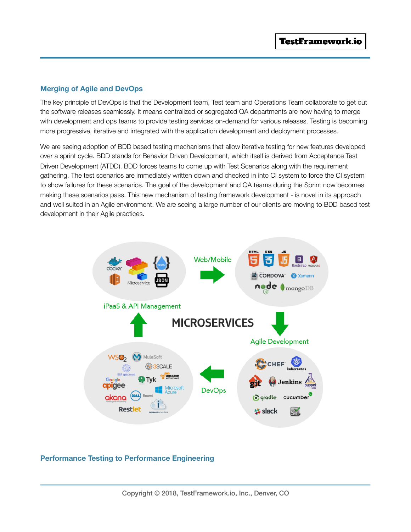# **Merging of Agile and DevOps**

The key principle of DevOps is that the Development team, Test team and Operations Team collaborate to get out the software releases seamlessly. It means centralized or segregated QA departments are now having to merge with development and ops teams to provide testing services on-demand for various releases. Testing is becoming more progressive, iterative and integrated with the application development and deployment processes.

We are seeing adoption of BDD based testing mechanisms that allow iterative testing for new features developed over a sprint cycle. BDD stands for Behavior Driven Development, which itself is derived from Acceptance Test Driven Development (ATDD). BDD forces teams to come up with Test Scenarios along with the requirement gathering. The test scenarios are immediately written down and checked in into CI system to force the CI system to show failures for these scenarios. The goal of the development and QA teams during the Sprint now becomes making these scenarios pass. This new mechanism of testing framework development - is novel in its approach and well suited in an Agile environment. We are seeing a large number of our clients are moving to BDD based test development in their Agile practices.



# **Performance Testing to Performance Engineering**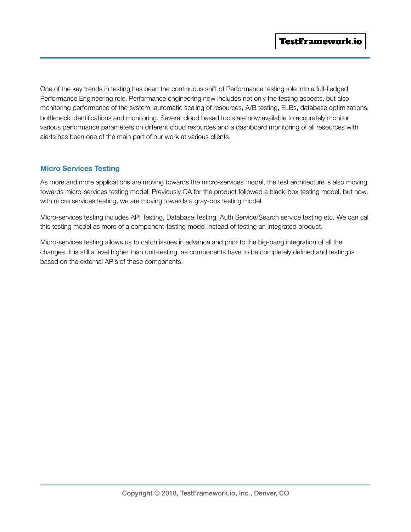One of the key trends in testing has been the continuous shift of Performance testing role into a full-fledged Performance Engineering role. Performance engineering now includes not only the testing aspects, but also monitoring performance of the system, automatic scaling of resources, A/B testing, ELBs, database optimizations, bottleneck identifications and monitoring. Several cloud based tools are now available to accurately monitor various performance parameters on different cloud resources and a dashboard monitoring of all resources with alerts has been one of the main part of our work at various clients.

# **Micro Services Testing**

As more and more applications are moving towards the micro-services model, the test architecture is also moving towards micro-services testing model. Previously QA for the product followed a black-box testing model, but now, with micro services testing, we are moving towards a gray-box testing model.

Micro-services testing includes API Testing, Database Testing, Auth Service/Search service testing etc. We can call this testing model as more of a component-testing model instead of testing an integrated product.

Micro-services testing allows us to catch issues in advance and prior to the big-bang integration of all the changes. It is still a level higher than unit-testing, as components have to be completely defined and testing is based on the external APIs of these components.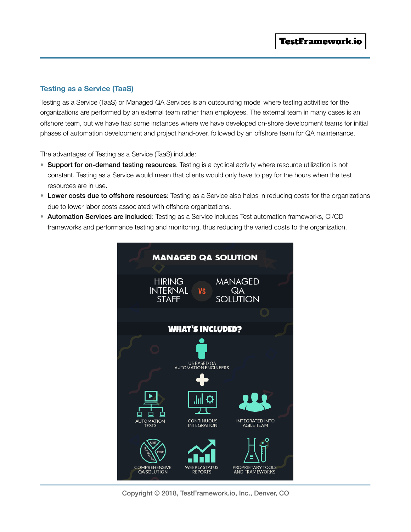# **Testing as a Service (TaaS)**

Testing as a Service (TaaS) or Managed QA Services is an outsourcing model where testing activities for the organizations are performed by an external team rather than employees. The external team in many cases is an offshore team, but we have had some instances where we have developed on-shore development teams for initial phases of automation development and project hand-over, followed by an offshore team for QA maintenance.

The advantages of Testing as a Service (TaaS) include:

- Support for on-demand testing resources. Testing is a cyclical activity where resource utilization is not constant. Testing as a Service would mean that clients would only have to pay for the hours when the test resources are in use.
- Lower costs due to offshore resources: Testing as a Service also helps in reducing costs for the organizations due to lower labor costs associated with offshore organizations.
- Automation Services are included: Testing as a Service includes Test automation frameworks, CI/CD frameworks and performance testing and monitoring, thus reducing the varied costs to the organization.

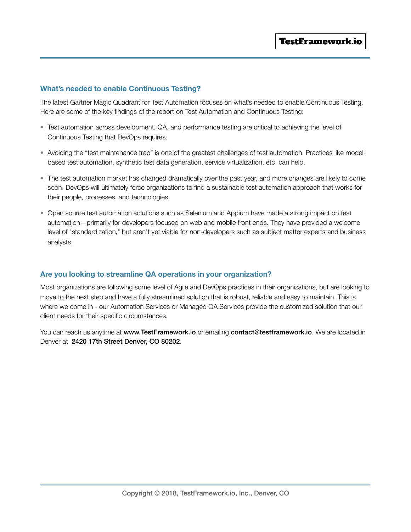#### **What's needed to enable Continuous Testing?**

The latest Gartner Magic Quadrant for Test Automation focuses on what's needed to enable Continuous Testing. Here are some of the key findings of the report on Test Automation and Continuous Testing:

- Test automation across development, QA, and performance testing are critical to achieving the level of Continuous Testing that DevOps requires.
- Avoiding the "test maintenance trap" is one of the greatest challenges of test automation. Practices like modelbased test automation, synthetic test data generation, service virtualization, etc. can help.
- The test automation market has changed dramatically over the past year, and more changes are likely to come soon. DevOps will ultimately force organizations to find a sustainable test automation approach that works for their people, processes, and technologies.
- Open source test automation solutions such as Selenium and Appium have made a strong impact on test automation—primarily for developers focused on web and mobile front ends. They have provided a welcome level of "standardization," but aren't yet viable for non-developers such as subject matter experts and business analysts.

# **Are you looking to streamline QA operations in your organization?**

Most organizations are following some level of Agile and DevOps practices in their organizations, but are looking to move to the next step and have a fully streamlined solution that is robust, reliable and easy to maintain. This is where we come in - our Automation Services or Managed QA Services provide the customized solution that our client needs for their specific circumstances.

You can reach us anytime at **[www.TestFramework.io](http://www.TestFramework.io)** or emailing **[contact@testframework.io](mailto:contact@testframework.io)**. We are located in Denver at 2420 17th Street Denver, CO 80202.